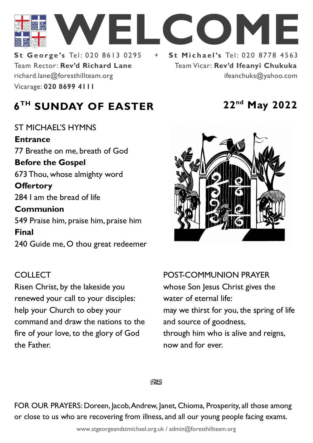

Team Rector: **Rev'd Richard Lane St George's Tel: 020 8613 0295** Vicarage: **020 8699 4111**  richard.lane@foresthillteam.org ifeanchuks@yahoo.com

Team Vicar: **Rev'd Ifeanyi Chukuka**

# **6 TH SUNDAY OF EASTER 22nd May 2022**

ST MICHAEL'S HYMNS **Entrance** 77 Breathe on me, breath of God **Before the Gospel**  673 Thou, whose almighty word **Offertory**  284 I am the bread of life **Communion**  549 Praise him, praise him, praise him **Final**  240 Guide me, O thou great redeemer

### **COLLECT**

Risen Christ, by the lakeside you renewed your call to your disciples: help your Church to obey your command and draw the nations to the fire of your love, to the glory of God the Father.



### POST-COMMUNION PRAYER

whose Son Jesus Christ gives the water of eternal life: may we thirst for you, the spring of life and source of goodness, through him who is alive and reigns, now and for ever.

 $Q\mathbf{X}^{\prime}$ 

FOR OUR PRAYERS: Doreen, Jacob, Andrew, Janet, Chioma, Prosperity, all those among or close to us who are recovering from illness, and all our young people facing exams.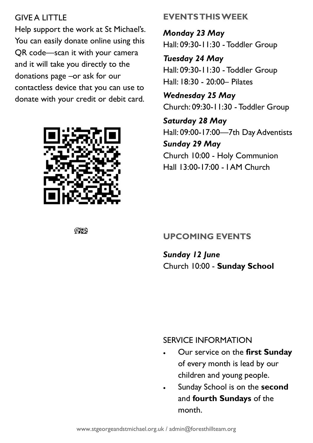## GIVE A LITTLE

Help support the work at St Michael's. You can easily donate online using this QR code—scan it with your camera and it will take you directly to the donations page –or ask for our contactless device that you can use to donate with your credit or debit card.



**EVENTS THIS WEEK**

*Monday 23 May* Hall: 09:30-11:30 - Toddler Group

*Tuesday 24 May* Hall: 09:30-11:30 - Toddler Group Hall: 18:30 - 20:00– Pilates

*Wednesday 25 May* Church: 09:30-11:30 - Toddler Group

*Saturday 28 May* Hall: 09:00-17:00—7th Day Adventists *Sunday 29 May* Church 10:00 - Holy Communion Hall 13:00-17:00 - I AM Church

### **UPCOMING EVENTS**

*Sunday 12 June* Church 10:00 - **Sunday School**

#### SERVICE INFORMATION

- Our service on the **first Sunday** of every month is lead by our children and young people.
- Sunday School is on the **second**  and **fourth Sundays** of the month.

ිසි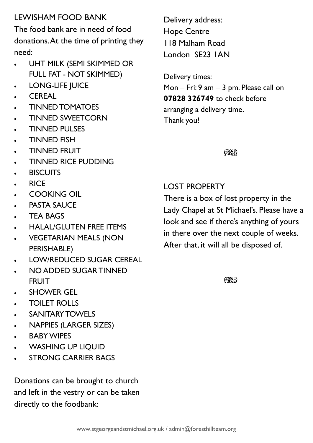## LEWISHAM FOOD BANK

The food bank are in need of food donations. At the time of printing they need:

- UHT MILK (SEMI SKIMMED OR FULL FAT - NOT SKIMMED)
- LONG-LIFE JUICE
- CEREAL
- TINNED TOMATOES
- TINNED SWEETCORN
- TINNED PULSES
- TINNED FISH
- TINNED FRUIT
- TINNED RICE PUDDING
- **BISCUITS**
- RICE
- COOKING OIL
- **PASTA SAUCE**
- **TEA BAGS**
- HALAL/GLUTEN FREE ITEMS
- VEGETARIAN MEALS (NON PERISHABLE)
- LOW/REDUCED SUGAR CEREAL
- NO ADDED SUGAR TINNED FRUIT
- SHOWER GEL
- TOILET ROLLS
- **SANITARY TOWELS**
- NAPPIES (LARGER SIZES)
- **BABY WIPES**
- WASHING UP LIQUID
- **STRONG CARRIER BAGS**

Donations can be brought to church and left in the vestry or can be taken directly to the foodbank:

Delivery address: Hope Centre 118 Malham Road London SE23 1AN

Delivery times: Mon – Fri: 9 am – 3 pm. Please call on **07828 326749** to check before arranging a delivery time. Thank you!

 $\mathbb{C}\mathbb{C}$ 

# LOST PROPERTY

There is a box of lost property in the Lady Chapel at St Michael's. Please have a look and see if there's anything of yours in there over the next couple of weeks. After that, it will all be disposed of.

 $QX$